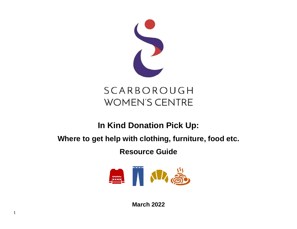

# **In Kind Donation Pick Up:**

# **Where to get help with clothing, furniture, food etc.**

#### **Resource Guide**



**March 2022**

1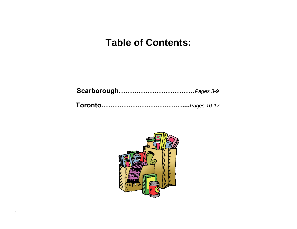## **Table of Contents:**

**Scarborough…….………………………***Pages 3-9*

**Toronto………………………………....***Pages 10-17*

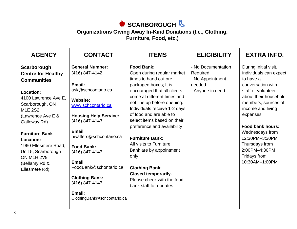### **SCARBOROUGH**

#### **Organizations Giving Away In-Kind Donations (I.e., Clothing,**

**Furniture, Food, etc.)** 

| <b>AGENCY</b>                                                                                                                                                                                                                                                                                                                                      | <b>CONTACT</b>                                                                                                                                                                                                                                                                                                                                                          | <b>ITEMS</b>                                                                                                                                                                                                                                                                                                                                                                                                                                                                                                                     | <b>ELIGIBILITY</b>                                                               | <b>EXTRA INFO.</b>                                                                                                                                                                                                                                                                                                      |
|----------------------------------------------------------------------------------------------------------------------------------------------------------------------------------------------------------------------------------------------------------------------------------------------------------------------------------------------------|-------------------------------------------------------------------------------------------------------------------------------------------------------------------------------------------------------------------------------------------------------------------------------------------------------------------------------------------------------------------------|----------------------------------------------------------------------------------------------------------------------------------------------------------------------------------------------------------------------------------------------------------------------------------------------------------------------------------------------------------------------------------------------------------------------------------------------------------------------------------------------------------------------------------|----------------------------------------------------------------------------------|-------------------------------------------------------------------------------------------------------------------------------------------------------------------------------------------------------------------------------------------------------------------------------------------------------------------------|
| Scarborough<br><b>Centre for Healthy</b><br><b>Communities</b><br><b>Location:</b><br>4100 Lawrence Ave E.<br>Scarborough, ON<br>M <sub>1</sub> E 2S <sub>2</sub><br>(Lawrence Ave E &<br>Galloway Rd)<br><b>Furniture Bank</b><br>Location:<br>1960 Ellesmere Road,<br>Unit 5, Scarborough<br><b>ON M1H 2V9</b><br>(Bellamy Rd &<br>Ellesmere Rd) | <b>General Number:</b><br>(416) 847-4142<br>Email:<br>ask@schcontario.ca<br><b>Website:</b><br>www.schcontario.ca<br><b>Housing Help Service:</b><br>(416) 847-4143<br>Email:<br>nwalters@schcontario.ca<br><b>Food Bank:</b><br>(416) 847-4147<br>Email:<br>FoodBank@schontario.ca<br><b>Clothing Bank:</b><br>(416) 847-4147<br>Email:<br>ClothingBank@schcontario.ca | <b>Food Bank:</b><br>Open during regular market<br>times to hand out pre-<br>packaged boxes; It is<br>encouraged that all clients<br>come at different times and<br>not line up before opening.<br>Individuals receive 1-2 days<br>of food and are able to<br>select items based on their<br>preference and availability<br><b>Furniture Bank:</b><br>All visits to Furniture<br>Bank are by appointment<br>only.<br><b>Clothing Bank:</b><br><b>Closed temporarily.</b><br>Please check with the food<br>bank staff for updates | - No Documentation<br>Required<br>- No Appointment<br>needed<br>- Anyone in need | During initial visit,<br>individuals can expect<br>to have a<br>conversation with<br>staff or volunteer<br>about their household<br>members, sources of<br>income and living<br>expenses.<br>Food bank hours:<br>Wednesdays from<br>12:30PM-3:30PM<br>Thursdays from<br>2:00PM-4:30PM<br>Fridays from<br>10:30AM-1:00PM |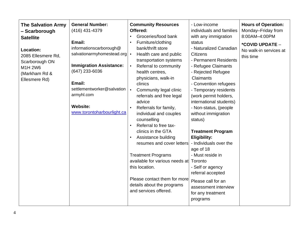| <b>The Salvation Army</b><br>- Scarborough<br><b>Satellite</b><br>Location:<br>2085 Ellesmere Rd.<br>Scarborough ON<br>M1H 2W6<br>(Markham Rd &<br>Ellesmere Rd) | <b>General Number:</b><br>(416) 431-4379<br>Email:<br>informationscarborough@<br>salvationarmyhomestead.org<br><b>Immigration Assistance:</b><br>(647) 233-6036<br>Email:<br>settlementworker@salvation<br>armyhl.com<br><b>Website:</b><br>www.torontoharbourlight.ca | <b>Community Resources</b><br>Offered:<br>Groceries/food bank<br>$\bullet$<br>Furniture/clothing<br>bank/thrift store<br>Health care and public<br>$\bullet$<br>transportation systems<br>Referral to community<br>$\bullet$<br>health centres,<br>physicians, walk-in<br>clinics<br>Community legal clinic<br>$\bullet$<br>referrals and free legal<br>advice<br>Referrals for family,<br>individual and couples<br>counselling<br>Referral to free tax-<br>$\bullet$<br>clinics in the GTA<br>Assistance building<br>$\bullet$<br>resumes and cover letters<br><b>Treatment Programs</b><br>available for various needs at Toronto<br>this location.<br>Please contact them for more<br>details about the programs<br>and services offered. | - Low-income<br>individuals and families<br>with any immigration<br>status<br>- Naturalized Canadian<br><b>Citizens</b><br>- Permanent Residents<br>- Refugee Claimants<br>- Rejected Refugee<br>Claimants<br>- Convention refugees<br>- Temporary residents<br>(work permit holders,<br>international students)<br>- Non-status, (people<br>without immigration<br>status)<br><b>Treatment Program</b><br><b>Eligibility:</b><br>- Individuals over the<br>age of 18<br>- Must reside in<br>- Self or agency<br>referral accepted<br>Please call for an<br>assessment interview<br>for any treatment<br>programs | <b>Hours of Operation:</b><br>Monday-Friday from<br>8:00AM-4:00PM<br>*COVID UPDATE -<br>No walk-in services at<br>this time |
|------------------------------------------------------------------------------------------------------------------------------------------------------------------|------------------------------------------------------------------------------------------------------------------------------------------------------------------------------------------------------------------------------------------------------------------------|-----------------------------------------------------------------------------------------------------------------------------------------------------------------------------------------------------------------------------------------------------------------------------------------------------------------------------------------------------------------------------------------------------------------------------------------------------------------------------------------------------------------------------------------------------------------------------------------------------------------------------------------------------------------------------------------------------------------------------------------------|-------------------------------------------------------------------------------------------------------------------------------------------------------------------------------------------------------------------------------------------------------------------------------------------------------------------------------------------------------------------------------------------------------------------------------------------------------------------------------------------------------------------------------------------------------------------------------------------------------------------|-----------------------------------------------------------------------------------------------------------------------------|
|------------------------------------------------------------------------------------------------------------------------------------------------------------------|------------------------------------------------------------------------------------------------------------------------------------------------------------------------------------------------------------------------------------------------------------------------|-----------------------------------------------------------------------------------------------------------------------------------------------------------------------------------------------------------------------------------------------------------------------------------------------------------------------------------------------------------------------------------------------------------------------------------------------------------------------------------------------------------------------------------------------------------------------------------------------------------------------------------------------------------------------------------------------------------------------------------------------|-------------------------------------------------------------------------------------------------------------------------------------------------------------------------------------------------------------------------------------------------------------------------------------------------------------------------------------------------------------------------------------------------------------------------------------------------------------------------------------------------------------------------------------------------------------------------------------------------------------------|-----------------------------------------------------------------------------------------------------------------------------|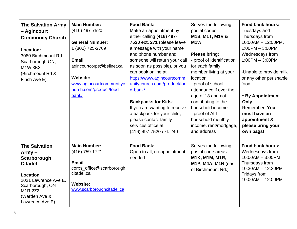| <b>The Salvation Army</b><br>- Agincourt<br><b>Community Church</b><br>Location:<br>3080 Birchmount Rd.<br>Scarborough ON,<br>M1W 3K3<br>(Birchmount Rd &<br>Finch Ave E)   | <b>Main Number:</b><br>(416) 497-7520<br><b>General Number:</b><br>1 (800) 725-2769<br>Email:<br>agincourtcorps@bellnet.ca<br><b>Website:</b><br>www.agincourtcommunityc<br>hurch.com/product/food-<br>bank/ | <b>Food Bank:</b><br>Make an appointment by<br>either calling (416) 497-<br>7520 ext. 271 (please leave<br>a message with your name<br>and phone number and<br>someone will return your call<br>as soon as possible), or you<br>can book online at<br>https://www.agincourtcomm<br>unitychurch.com/product/foo<br>d-bank/<br><b>Backpacks for Kids:</b><br>If you are wanting to receive<br>a backpack for your child,<br>please contact family<br>services office at<br>(416) 497-7520 ext. 240 | Serves the following<br>postal codes:<br>M1S, M1T, M1V &<br>M <sub>1</sub> W<br><b>Please bring:</b><br>- proof of Identification<br>for each family<br>member living at your<br>location<br>- proof of school<br>attendance if over the<br>age of 18 and not<br>contributing to the<br>household income<br>- proof of ALL<br>household monthly<br>income, rent/mortgage,<br>and address | <b>Food bank hours:</b><br>Tuesdays and<br>Thursdays from<br>$10:00AM - 12:00PM$ ,<br>$1:00PM - 3:00PM$<br>Wednesdays from<br>$1:00PM - 3:00PM$<br>-Unable to provide milk<br>or any other perishable<br>food<br>* By Appointment<br>Only<br>Remember: You<br>must have an<br>appointment &<br>please bring your<br>own bags! |
|-----------------------------------------------------------------------------------------------------------------------------------------------------------------------------|--------------------------------------------------------------------------------------------------------------------------------------------------------------------------------------------------------------|--------------------------------------------------------------------------------------------------------------------------------------------------------------------------------------------------------------------------------------------------------------------------------------------------------------------------------------------------------------------------------------------------------------------------------------------------------------------------------------------------|------------------------------------------------------------------------------------------------------------------------------------------------------------------------------------------------------------------------------------------------------------------------------------------------------------------------------------------------------------------------------------------|-------------------------------------------------------------------------------------------------------------------------------------------------------------------------------------------------------------------------------------------------------------------------------------------------------------------------------|
| <b>The Salvation</b><br>$A$ rmy $-$<br>Scarborough<br><b>Citadel</b><br>Location:<br>2021 Lawrence Ave E.<br>Scarborough, ON<br>M1R 2Z2<br>(Warden Ave &<br>Lawrence Ave E) | <b>Main Number:</b><br>(416) 759-1721<br>Email:<br>corps_office@scarborough<br>citadel.ca<br><b>Website:</b><br>www.scarboroughcitadel.ca                                                                    | <b>Food Bank:</b><br>Open to all, no appointment<br>needed                                                                                                                                                                                                                                                                                                                                                                                                                                       | Serves the following<br>postal code areas:<br>M1K, M1M, M1R,<br>M1P, M4A, M1N (east<br>of Birchmount Rd.)                                                                                                                                                                                                                                                                                | Food bank hours:<br>Wednesdays from<br>$10:00AM - 3:00PM$<br>Thursdays from<br>10:30AM - 12:30PM<br>Fridays from<br>10:00AM - 12:00PM                                                                                                                                                                                         |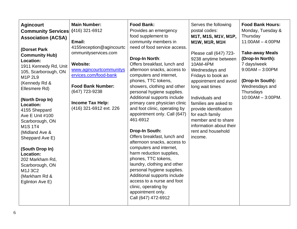| <b>Agincourt</b><br><b>Community Services</b><br><b>Association (ACSA)</b><br>(Dorset Park<br><b>Community Hub)</b><br><b>Location:</b><br>1911 Kennedy Rd, Unit<br>105, Scarborough, ON<br>M1P 2L9<br>(Kennedy Rd &<br>Ellesmere Rd)<br>(North Drop In)<br>Location:<br>4155 Sheppard<br>Ave E Unit #100<br>Scarborough, ON<br><b>M1S1T4</b><br>(Midland Ave &<br>Sheppard Ave E)<br>(South Drop In)<br>Location:<br>202 Markham Rd,<br>Scarborough, ON<br>M1J 3C2<br>(Markham Rd &<br>Eglinton Ave E) | <b>Main Number:</b><br>(416) 321-6912<br>Email:<br>4155 reception @ agincourtc<br>ommunityservices.com<br><b>Website:</b><br>www.agincourtcommunitys<br>ervices.com/food-bank<br><b>Food Bank Number:</b><br>(647) 723-9238<br><b>Income Tax Help:</b><br>(416) 321-6912 ext. 226 | <b>Food Bank:</b><br>Provides an emergency<br>food supplement to<br>community members in<br>need of food service access.<br>Drop-In North:<br>Offers breakfast, lunch and<br>afternoon snacks, access to<br>computers and internet,<br>phones, TTC tokens,<br>showers, clothing and other<br>personal hygiene supplies.<br>Additional supports include<br>primary care physician clinic<br>and foot clinic, operating by<br>appointment only. Call (647)<br>461-6912<br>Drop-In South:<br>Offers breakfast, lunch and<br>afternoon snacks, access to<br>computers and internet,<br>harm reduction supplies,<br>phones, TTC tokens,<br>laundry, clothing and other<br>personal hygiene supplies.<br>Additional supports include<br>access to a nurse and foot<br>clinic, operating by<br>appointment only.<br>Call (647) 472-6912 | Serves the following<br>postal codes:<br>M1T, M1S, M1V, M1P,<br>M1W, M1R, M1H<br>Please call (647) 723-<br>9238 anytime between<br>10AM-4PM<br>Wednesdays and<br>Fridays to book an<br>appointment and avoid<br>long wait times<br>Individuals and<br>families are asked to<br>provide identification<br>for each family<br>member and to share<br>information about their<br>rent and household<br>income. | <b>Food Bank Hours:</b><br>Monday, Tuesday &<br>Thursday<br>$11:00AM - 4:00PM$<br><b>Take-away Meals</b><br>(Drop-In North):<br>7 days/week<br>$9:00AM - 3:00PM$<br>(Drop-In South):<br>Wednesdays and<br>Thursdays<br>$10:00AM - 3:00PM$ . |
|---------------------------------------------------------------------------------------------------------------------------------------------------------------------------------------------------------------------------------------------------------------------------------------------------------------------------------------------------------------------------------------------------------------------------------------------------------------------------------------------------------|-----------------------------------------------------------------------------------------------------------------------------------------------------------------------------------------------------------------------------------------------------------------------------------|----------------------------------------------------------------------------------------------------------------------------------------------------------------------------------------------------------------------------------------------------------------------------------------------------------------------------------------------------------------------------------------------------------------------------------------------------------------------------------------------------------------------------------------------------------------------------------------------------------------------------------------------------------------------------------------------------------------------------------------------------------------------------------------------------------------------------------|-------------------------------------------------------------------------------------------------------------------------------------------------------------------------------------------------------------------------------------------------------------------------------------------------------------------------------------------------------------------------------------------------------------|---------------------------------------------------------------------------------------------------------------------------------------------------------------------------------------------------------------------------------------------|
|---------------------------------------------------------------------------------------------------------------------------------------------------------------------------------------------------------------------------------------------------------------------------------------------------------------------------------------------------------------------------------------------------------------------------------------------------------------------------------------------------------|-----------------------------------------------------------------------------------------------------------------------------------------------------------------------------------------------------------------------------------------------------------------------------------|----------------------------------------------------------------------------------------------------------------------------------------------------------------------------------------------------------------------------------------------------------------------------------------------------------------------------------------------------------------------------------------------------------------------------------------------------------------------------------------------------------------------------------------------------------------------------------------------------------------------------------------------------------------------------------------------------------------------------------------------------------------------------------------------------------------------------------|-------------------------------------------------------------------------------------------------------------------------------------------------------------------------------------------------------------------------------------------------------------------------------------------------------------------------------------------------------------------------------------------------------------|---------------------------------------------------------------------------------------------------------------------------------------------------------------------------------------------------------------------------------------------|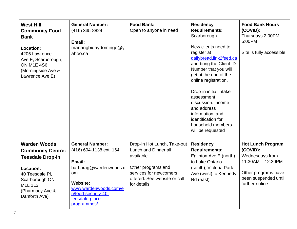| <b>West Hill</b><br><b>Community Food</b><br><b>Bank</b><br>Location:<br>4205 Lawrence<br>Ave E, Scarborough,<br><b>ON M1E 4S6</b><br>(Morningside Ave &<br>Lawrence Ave E)       | <b>General Number:</b><br>(416) 335-8829<br>Email:<br>manangbidaydomingo@y<br>ahoo.ca                                                                                                            | <b>Food Bank:</b><br>Open to anyone in need                                                                                                                       | <b>Residency</b><br><b>Requirements:</b><br>Scarborough<br>New clients need to<br>register at<br>dailybread.link2feed.ca<br>and bring the Client ID<br>Number that you will<br>get at the end of the<br>online registration.<br>Drop-in initial intake<br>assessment<br>discussion: income<br>and address<br>information, and<br>identification for<br>household members<br>will be requested | <b>Food Bank Hours</b><br>(COVID):<br>Thursdays 2:00PM -<br>5:00PM<br>Site is fully accessible                                                |
|-----------------------------------------------------------------------------------------------------------------------------------------------------------------------------------|--------------------------------------------------------------------------------------------------------------------------------------------------------------------------------------------------|-------------------------------------------------------------------------------------------------------------------------------------------------------------------|-----------------------------------------------------------------------------------------------------------------------------------------------------------------------------------------------------------------------------------------------------------------------------------------------------------------------------------------------------------------------------------------------|-----------------------------------------------------------------------------------------------------------------------------------------------|
| <b>Warden Woods</b><br><b>Community Centre:</b><br><b>Teesdale Drop-in</b><br>Location:<br>40 Teesdale Pl,<br>Scarborough ON<br><b>M1L1L3</b><br>(Pharmacy Ave &<br>Danforth Ave) | <b>General Number:</b><br>(416) 694-1138 ext. 164<br>Email:<br>barbarag@wardenwoods.c<br>om<br><b>Website:</b><br>www.wardenwoods.com/e<br>n/food-security-40-<br>teesdale-place-<br>programmes/ | Drop-In Hot Lunch, Take-out<br>Lunch and Dinner all<br>available.<br>Other programs and<br>services for newcomers<br>offered. See website or call<br>for details. | <b>Residency</b><br><b>Requirements:</b><br>Eglinton Ave E (north)<br>to Lake Ontario<br>(south), Victoria Park<br>Ave (west) to Kennedy<br>Rd (east)                                                                                                                                                                                                                                         | <b>Hot Lunch Program</b><br>(COVID):<br>Wednesdays from<br>11:30AM - 12:30PM<br>Other programs have<br>been suspended until<br>further notice |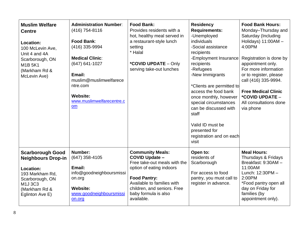| <b>Muslim Welfare</b><br><b>Centre</b><br>Location:<br>100 McLevin Ave,<br>Unit 4 and 4A<br>Scarborough, ON<br><b>M1B5K1</b><br>(Markham Rd &<br>McLevin Ave) | <b>Administration Number:</b><br>(416) 754-8116<br><b>Food Bank:</b><br>(416) 335-9994<br><b>Medical Clinic:</b><br>$(647) 641 - 1027$<br>Email:<br>muslim@muslimwelfarece<br>ntre.com<br><b>Website:</b><br>www.muslimwelfarecentre.c<br><b>om</b> | <b>Food Bank:</b><br>Provides residents with a<br>hot, healthy meal served in<br>a restaurant-style lunch<br>setting<br>* Halal<br>*COVID UPDATE - Only<br>serving take-out lunches                                                    | <b>Residency</b><br><b>Requirements:</b><br>-Unemployed<br>individuals<br>-Social assistance<br>recipients<br>-Employment Insurance<br>recipients<br>-Refugees<br>-New Immigrants<br>*Clients are permitted to<br>access the food bank<br>once monthly, however<br>special circumstances<br>can be discussed with<br>staff<br>Valid ID must be<br>presented for<br>registration and on each<br>visit | <b>Food Bank Hours:</b><br>Monday-Thursday and<br>Saturday (Including<br>Holidays) 11:00AM -<br>4:00PM<br>Registration is done by<br>appointment only.<br>For more information<br>or to register, please<br>call (416) 335-9994.<br><b>Free Medical Clinic</b><br>*COVID UPDATE -<br>All consultations done<br>via phone |
|---------------------------------------------------------------------------------------------------------------------------------------------------------------|-----------------------------------------------------------------------------------------------------------------------------------------------------------------------------------------------------------------------------------------------------|----------------------------------------------------------------------------------------------------------------------------------------------------------------------------------------------------------------------------------------|------------------------------------------------------------------------------------------------------------------------------------------------------------------------------------------------------------------------------------------------------------------------------------------------------------------------------------------------------------------------------------------------------|--------------------------------------------------------------------------------------------------------------------------------------------------------------------------------------------------------------------------------------------------------------------------------------------------------------------------|
| <b>Scarborough Good</b><br><b>Neighbours Drop-in</b><br>Location:<br>193 Markham Rd,<br>Scarborough, ON<br>M1J3C3<br>(Markham Rd &<br>Eglinton Ave E)         | Number:<br>(647) 358-4105<br>Email:<br>info@goodneighboursmissi<br>on.org<br><b>Website:</b><br>www.goodneighboursmissi<br>on.org                                                                                                                   | <b>Community Meals:</b><br><b>COVID Update -</b><br>Free take-out meals with the<br>option of eating indoors<br><b>Food Pantry:</b><br>Available to families with<br>children, and seniors. Free<br>baby formula is also<br>available. | Open to:<br>residents of<br>Scarborough<br>For access to food<br>pantry, you must call to<br>register in advance.                                                                                                                                                                                                                                                                                    | <b>Meal Hours:</b><br>Thursdays & Fridays<br>Breakfast: 9:30AM -<br>11:00AM<br>Lunch: 12:30PM -<br>2:00PM<br>*Food pantry open all<br>day on Friday for<br>families (by<br>appointment only).                                                                                                                            |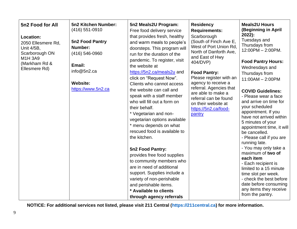| 5n2 Food for All<br>Location:<br>2050 Ellesmere Rd,<br>Unit 4/5B,<br>Scarborough ON<br>M1H 3A9<br>(Markham Rd &<br>Ellesmere Rd) | <b>5n2 Kitchen Number:</b><br>$(416)$ 551-0910<br>5n2 Food Pantry<br>Number:<br>(416) 546-0960<br>Email:<br>info@5n2.ca<br><b>Website:</b><br>https://www.5n2.ca | 5n2 Meals2U Program:<br>Free food delivery service<br>that provides fresh, healthy<br>and warm meals to people's<br>doorsteps. This program will<br>run for the duration of the<br>pandemic. To register, visit<br>the website at<br>https://5n2.ca/meals2u and<br>click on "Request Now".<br>Clients who cannot access<br>the website can call and<br>speak with a staff member<br>who will fill out a form on<br>their behalf.<br>* Vegetarian and non-<br>vegetarian options available<br>* menu depends on what<br>rescued food is available to<br>the kitchen.<br>5n2 Food Pantry:<br>provides free food supplies<br>to community members who<br>are in need of additional<br>support. Supplies include a<br>variety of non-perishable<br>and perishable items.<br>* Available to clients<br>through agency referrals | <b>Residency</b><br><b>Requirements:</b><br>Scarborough<br>(South of Finch Ave E,<br>West of Port Union Rd,<br>North of Danforth Ave,<br>and East of Hwy<br>404/DVP)<br><b>Food Pantry:</b><br>Please register with an<br>agency to receive a<br>referral. Agencies that<br>are able to make a<br>referral can be found<br>on their website at<br>https://5n2.ca/food-<br>pantry | <b>Meals2U Hours</b><br>(Beginning in April<br>2022):<br>Tuesdays and<br>Thursdays from<br>12:00PM - 2:00PM.<br><b>Food Pantry Hours:</b><br>Wednesdays and<br>Thursdays from<br>$11:00AM - 2:00PM$<br><b>COVID Guidelines:</b><br>- Please wear a face<br>and arrive on time for<br>your scheduled<br>appointment. If you<br>have not arrived within<br>5 minutes of your<br>appointment time, it will<br>be cancelled.<br>- Please call if you are<br>running late.<br>- You may only take a<br>maximum of two of<br>each item<br>- Each recipient is<br>limited to a 15 minute<br>time slot per week.<br>- check the best before<br>date before consuming<br>any items they receive<br>from the pantry. |
|----------------------------------------------------------------------------------------------------------------------------------|------------------------------------------------------------------------------------------------------------------------------------------------------------------|----------------------------------------------------------------------------------------------------------------------------------------------------------------------------------------------------------------------------------------------------------------------------------------------------------------------------------------------------------------------------------------------------------------------------------------------------------------------------------------------------------------------------------------------------------------------------------------------------------------------------------------------------------------------------------------------------------------------------------------------------------------------------------------------------------------------------|----------------------------------------------------------------------------------------------------------------------------------------------------------------------------------------------------------------------------------------------------------------------------------------------------------------------------------------------------------------------------------|------------------------------------------------------------------------------------------------------------------------------------------------------------------------------------------------------------------------------------------------------------------------------------------------------------------------------------------------------------------------------------------------------------------------------------------------------------------------------------------------------------------------------------------------------------------------------------------------------------------------------------------------------------------------------------------------------------|
|----------------------------------------------------------------------------------------------------------------------------------|------------------------------------------------------------------------------------------------------------------------------------------------------------------|----------------------------------------------------------------------------------------------------------------------------------------------------------------------------------------------------------------------------------------------------------------------------------------------------------------------------------------------------------------------------------------------------------------------------------------------------------------------------------------------------------------------------------------------------------------------------------------------------------------------------------------------------------------------------------------------------------------------------------------------------------------------------------------------------------------------------|----------------------------------------------------------------------------------------------------------------------------------------------------------------------------------------------------------------------------------------------------------------------------------------------------------------------------------------------------------------------------------|------------------------------------------------------------------------------------------------------------------------------------------------------------------------------------------------------------------------------------------------------------------------------------------------------------------------------------------------------------------------------------------------------------------------------------------------------------------------------------------------------------------------------------------------------------------------------------------------------------------------------------------------------------------------------------------------------------|

**NOTICE: For additional services not listed, please visit 211 Central (https://211central.ca) for more information.**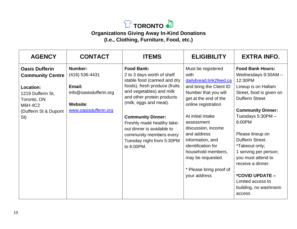

#### **Organizations Giving Away In-Kind Donations (I.e., Clothing, Furniture, Food, etc.)**

| <b>AGENCY</b>                                                                                                                                              | <b>CONTACT</b>                                                                                     | <b>ITEMS</b>                                                                                                                                                                                                                                                                                                                                                      | <b>ELIGIBILITY</b>                                                                                                                                                                                                                                                                                                                                               | <b>EXTRA INFO.</b>                                                                                                                                                                                                                                                                                                                                                                                         |
|------------------------------------------------------------------------------------------------------------------------------------------------------------|----------------------------------------------------------------------------------------------------|-------------------------------------------------------------------------------------------------------------------------------------------------------------------------------------------------------------------------------------------------------------------------------------------------------------------------------------------------------------------|------------------------------------------------------------------------------------------------------------------------------------------------------------------------------------------------------------------------------------------------------------------------------------------------------------------------------------------------------------------|------------------------------------------------------------------------------------------------------------------------------------------------------------------------------------------------------------------------------------------------------------------------------------------------------------------------------------------------------------------------------------------------------------|
| <b>Oasis Dufferin</b><br><b>Community Centre</b><br><b>Location:</b><br>1219 Dufferin St,<br>Toronto, ON<br><b>M6H 4C2</b><br>(Dufferin St & Dupont<br>St) | Number:<br>(416) 536-4431<br>Email:<br>info@oasisdufferin.org<br>Website:<br>www.oasisdufferin.org | <b>Food Bank:</b><br>2 to 3 days worth of shelf<br>stable food (canned and dry<br>foods), fresh produce (fruits<br>and vegetables) and milk<br>and other protein products<br>(milk, eggs and meat).<br><b>Community Dinner:</b><br>Freshly made healthy take-<br>out dinner is available to<br>community members every<br>Tuesday night from 5:30PM<br>to 6:00PM. | Must be registered<br>with<br>dailybread.link2feed.ca<br>and bring the Client ID<br>Number that you will<br>get at the end of the<br>online registration<br>At initial intake<br>assessment<br>discussion, income<br>and address<br>information, and<br>identification for<br>household members,<br>may be requested.<br>* Please bring proof of<br>your address | <b>Food Bank Hours:</b><br>Wednesdays 9:30AM -<br>12:30PM<br>Lineup is on Hallam<br>Street, food is given on<br><b>Dufferin Street</b><br><b>Community Dinner:</b><br>Tuesdays 5:30PM -<br>6:00PM<br>Please lineup on<br>Dufferin Street.<br>*Takeout only;<br>1 serving per person;<br>you must attend to<br>receive a dinner.<br>*COVID UPDATE -<br>Limited access to<br>building, no washroom<br>access |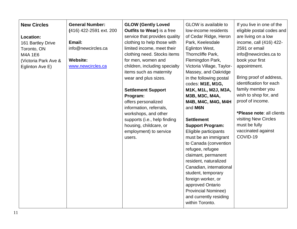| <b>New Circles</b><br><b>General Number:</b><br>(416) 422-2591 ext. 200<br>Location:<br>Email:<br>161 Bartley Drive<br>info@newcircles.ca<br>Toronto, ON<br>M4A 1E6<br><b>Website:</b><br>(Victoria Park Ave &<br>www.newcircles.ca<br>Eglinton Ave E) | <b>GLOW (Gently Loved</b><br><b>Outfits to Wear)</b> is a free<br>service that provides quality<br>clothing to help those with<br>limited income, meet their<br>clothing need. Stocks items<br>for men, women and<br>children, including specialty<br>items such as maternity<br>wear and plus sizes.<br><b>Settlement Support</b><br>Program:<br>offers personalized<br>information, referrals,<br>workshops, and other<br>supports (i.e., help finding<br>housing, childcare, or<br>employment) to service<br>users. | GLOW is available to<br>low-income residents<br>of Cedar Ridge, Heron<br>Park, Keelesdale<br>Eglinton West,<br>Thorncliffe Park,<br>Flemingdon Park,<br>Victoria Village, Taylor-<br>Massey, and Oakridge<br>in the following postal<br>codes: M1E, M1G,<br>M1K, M1L, M2J, M3A,<br>M3B, M3C, M4A,<br>M4B, M4C, M4G, M4H<br>and M6N<br><b>Settlement</b><br><b>Support Program:</b><br>Eligible participants<br>must be an immigrant<br>to Canada (convention<br>refugee, refugee<br>claimant, permanent<br>resident, naturalized<br>Canadian, international<br>student, temporary<br>foreign worker, or<br>approved Ontario<br><b>Provincial Nominee)</b><br>and currently residing | If you live in one of the<br>eligible postal codes and<br>are living on a low<br>income, call (416) 422-<br>2591 or email<br>info@newcircles.ca to<br>book your first<br>appointment.<br>Bring proof of address,<br>identification for each<br>family member you<br>wish to shop for, and<br>proof of income.<br>*Please note: all clients<br>visiting New Circles<br>must be fully<br>vaccinated against<br>COVID-19 |
|--------------------------------------------------------------------------------------------------------------------------------------------------------------------------------------------------------------------------------------------------------|------------------------------------------------------------------------------------------------------------------------------------------------------------------------------------------------------------------------------------------------------------------------------------------------------------------------------------------------------------------------------------------------------------------------------------------------------------------------------------------------------------------------|-------------------------------------------------------------------------------------------------------------------------------------------------------------------------------------------------------------------------------------------------------------------------------------------------------------------------------------------------------------------------------------------------------------------------------------------------------------------------------------------------------------------------------------------------------------------------------------------------------------------------------------------------------------------------------------|-----------------------------------------------------------------------------------------------------------------------------------------------------------------------------------------------------------------------------------------------------------------------------------------------------------------------------------------------------------------------------------------------------------------------|
|--------------------------------------------------------------------------------------------------------------------------------------------------------------------------------------------------------------------------------------------------------|------------------------------------------------------------------------------------------------------------------------------------------------------------------------------------------------------------------------------------------------------------------------------------------------------------------------------------------------------------------------------------------------------------------------------------------------------------------------------------------------------------------------|-------------------------------------------------------------------------------------------------------------------------------------------------------------------------------------------------------------------------------------------------------------------------------------------------------------------------------------------------------------------------------------------------------------------------------------------------------------------------------------------------------------------------------------------------------------------------------------------------------------------------------------------------------------------------------------|-----------------------------------------------------------------------------------------------------------------------------------------------------------------------------------------------------------------------------------------------------------------------------------------------------------------------------------------------------------------------------------------------------------------------|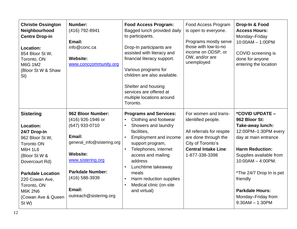| <b>Christie Ossington</b><br>Neighbourhood<br><b>Centre Drop-in</b><br>Location:<br>854 Bloor St W,<br>Toronto, ON<br><b>M6G 1M2</b><br>(Bloor St W & Shaw<br>St)                                                                                        | Number:<br>(416) 792-8941<br>Email:<br>info@conc.ca<br><b>Website:</b><br>www.conccommunity.org                                                                                                                             | <b>Food Access Program:</b><br>Bagged lunch provided daily<br>to participants.<br>Drop-In participants are<br>assisted with literacy and<br>financial literacy support.<br>Various programs for<br>children are also available.<br>Shelter and housing<br>services are offered at<br>multiple locations around<br>Toronto.               | Food Access Program<br>is open to everyone.<br>Programs mostly serve<br>those with low-to-no<br>income on ODSP, or<br>OW, and/or are<br>unemployed                    | Drop-In & Food<br><b>Access Hours:</b><br>Monday-Friday<br>$10:00AM - 1:00PM$<br>COVID screening is<br>done for anyone<br>entering the location                                                                                                                                                |
|----------------------------------------------------------------------------------------------------------------------------------------------------------------------------------------------------------------------------------------------------------|-----------------------------------------------------------------------------------------------------------------------------------------------------------------------------------------------------------------------------|------------------------------------------------------------------------------------------------------------------------------------------------------------------------------------------------------------------------------------------------------------------------------------------------------------------------------------------|-----------------------------------------------------------------------------------------------------------------------------------------------------------------------|------------------------------------------------------------------------------------------------------------------------------------------------------------------------------------------------------------------------------------------------------------------------------------------------|
| <b>Sistering</b><br>Location:<br>24/7 Drop-In<br>962 Bloor St W,<br><b>Toronto ON</b><br><b>M6H 1L6</b><br>(Bloor St W &<br>Dovercourt Rd)<br><b>Parkdale Location</b><br>220 Cowan Ave,<br>Toronto, ON<br><b>M6K 2N6</b><br>(Cowan Ave & Queen<br>St W) | 962 Bloor Number:<br>(416) 926-1946 or<br>(647) 933-0710<br>Email:<br>general_info@sistering.org<br><b>Website:</b><br>www.sistering.org<br><b>Parkdale Number:</b><br>$(416)$ 588-3939<br>Email:<br>outreach@sistering.org | <b>Programs and Services:</b><br>Clothing and footwear<br>Showers and laundry<br>$\bullet$<br>facilities,<br><b>Employment and income</b><br>support program,<br>Telephones, internet<br>access and mailing<br>address<br>Lunchtime takeaway<br>meals<br>Harm reduction supplies<br>$\bullet$<br>Medical clinic (on-site<br>and virtual) | For women and trans-<br>identified people.<br>All referrals for respite<br>are done through the<br>City of Toronto's<br><b>Central Intake Line:</b><br>1-877-338-3398 | *COVID UPDATE -<br>962 Bloor St:<br>Take-away lunch:<br>12:00PM-1:30PM every<br>day at main entrance<br><b>Harm Reduction:</b><br>Supplies available from<br>$10:00AM - 4:00PM$ .<br>*The 24/7 Drop In is pet<br>friendly<br><b>Parkdale Hours:</b><br>Monday-Friday from<br>$9:30AM - 1:30PM$ |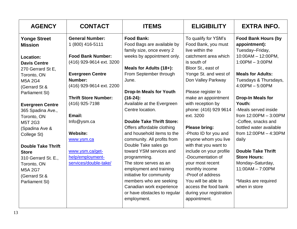| <b>AGENCY</b>             | <b>CONTACT</b>              | <b>ITEMS</b>                                            | <b>ELIGIBILITY</b>                     | <b>EXTRA INFO.</b>               |
|---------------------------|-----------------------------|---------------------------------------------------------|----------------------------------------|----------------------------------|
| <b>Yonge Street</b>       | <b>General Number:</b>      | <b>Food Bank:</b>                                       | To qualify for YSM's                   | <b>Food Bank Hours (by</b>       |
| <b>Mission</b>            | 1 (800) 416-5111            | Food Bags are available by<br>family size, once every 2 | Food Bank, you must<br>live within the | appointment):<br>Tuesday-Friday, |
| Location:                 | <b>Food Bank Number:</b>    | weeks by appointment only.                              | catchment area which                   | $10:00AM - 12:00PM,$             |
| <b>Davis Centre</b>       | (416) 929-9614 ext. 3200    |                                                         | is south of                            | $1:00PM - 3:00PM$                |
| 270 Gerrard St E,         |                             | Meals for Adults (18+):                                 | Bloor St., east of                     |                                  |
| Toronto, ON               | <b>Evergreen Centre</b>     | From September through                                  | Yonge St. and west of                  | <b>Meals for Adults:</b>         |
| <b>M5A 2G4</b>            | Number:                     | June.                                                   | Don Valley Parkway                     | Tuesdays & Thursdays,            |
| (Gerrard St &             | (416) 929-9614 ext. 2200    |                                                         |                                        | $4:00PM - 5:00PM$                |
| Parliament St)            |                             | <b>Drop-In Meals for Youth</b>                          | Please register to                     |                                  |
|                           | <b>Thrift Store Number:</b> | $(16-24)$ :                                             | make an appointment                    | <b>Drop-In Meals for</b>         |
| <b>Evergreen Centre</b>   | (416) 925-7198              | Available at the Evergreen                              | with reception by                      | Youth:                           |
| 365 Spadina Ave.,         |                             | Centre location.                                        | phone: (416) 929 9614                  | -Meals served inside             |
| Toronto, ON               | Email:                      |                                                         | ext. 3200                              | from 12:00PM - 3:00PM            |
| M5T 2G3                   | Info@ysm.ca                 | <b>Double Take Thrift Store:</b>                        |                                        | -Coffee, snacks and              |
| (Spadina Ave &            |                             | Offers affordable clothing                              | <b>Please bring:</b>                   | bottled water available          |
| College St)               | <b>Website:</b>             | and household items to the                              | -Photo ID for you and                  | from $12:00PM - 4:30PM$          |
|                           | www.ysm.ca                  | community. All profits from                             | anyone whom you live                   | daily                            |
| <b>Double Take Thrift</b> |                             | Double Take sales go                                    | with that you want to                  |                                  |
| <b>Store</b>              | www.ysm.ca/get-             | toward YSM services and                                 | include on your profile                | <b>Double Take Thrift</b>        |
| 310 Gerrard St. E.,       | help/employment-            | programming.                                            | -Documentation of                      | <b>Store Hours:</b>              |
| Toronto, ON               | services/double-take/       | The store serves as an                                  | your most recent                       | Monday-Saturday,                 |
| <b>M5A 2G7</b>            |                             | employment and training                                 | monthly income                         | $11:00AM - 7:00PM$               |
| (Gerrard St &             |                             | initiative for community                                | -Proof of address                      |                                  |
| Parliament St)            |                             | members who are seeking                                 | You will be able to                    | *Masks are required              |
|                           |                             | Canadian work experience                                | access the food bank                   | when in store                    |
|                           |                             | or have obstacles to regular                            | during your registration               |                                  |
|                           |                             | employment.                                             | appointment.                           |                                  |
|                           |                             |                                                         |                                        |                                  |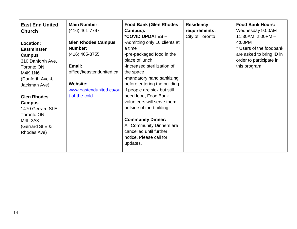| <b>East End United</b><br><b>Church</b>                                                                                                                                                                                                                                        | <b>Main Number:</b><br>(416) 461-7797                                                                                                                 | <b>Food Bank (Glen Rhodes</b><br>Campus):<br>*COVID UPDATES -                                                                                                                                                                                                                                                                                                                                                                                 | <b>Residency</b><br>requirements:<br>City of Toronto | <b>Food Bank Hours:</b><br>Wednesday 9:00AM -<br>11:30AM, 2:00PM-                                        |
|--------------------------------------------------------------------------------------------------------------------------------------------------------------------------------------------------------------------------------------------------------------------------------|-------------------------------------------------------------------------------------------------------------------------------------------------------|-----------------------------------------------------------------------------------------------------------------------------------------------------------------------------------------------------------------------------------------------------------------------------------------------------------------------------------------------------------------------------------------------------------------------------------------------|------------------------------------------------------|----------------------------------------------------------------------------------------------------------|
| Location:<br><b>Eastminster</b><br><b>Campus</b><br>310 Danforth Ave,<br><b>Toronto ON</b><br><b>M4K 1N6</b><br>(Danforth Ave &<br>Jackman Ave)<br><b>Glen Rhodes</b><br>Campus<br>1470 Gerrard St E,<br><b>Toronto ON</b><br><b>M4L 2A3</b><br>(Gerrard St E &<br>Rhodes Ave) | <b>Glen Rhodes Campus</b><br>Number:<br>$(416)$ 465-3755<br>Email:<br>office@eastendunited.ca<br>Website:<br>www.eastendunited.ca/ou<br>t-of-the-cold | -Admitting only 10 clients at<br>a time<br>-pre-packaged food in the<br>place of lunch<br>-increased sterilization of<br>the space<br>-mandatory hand sanitizing<br>before entering the building<br>If people are sick but still<br>need food, Food Bank<br>volunteers will serve them<br>outside of the building.<br><b>Community Dinner:</b><br>All Community Dinners are<br>cancelled until further<br>notice. Please call for<br>updates. |                                                      | 4:00PM<br>* Users of the foodbank<br>are asked to bring ID in<br>order to participate in<br>this program |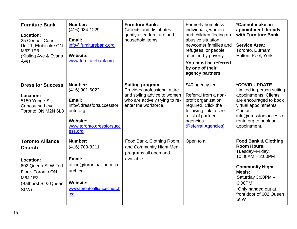| <b>Furniture Bank</b><br>Location:<br>25 Connell Court,<br>Unit 1, Etobicoke ON<br><b>M8Z1E8</b><br>(Kipling Ave & Evans<br>Ave)             | Number:<br>(416) 934-1229<br>Email:<br>info@furniturebank.org<br><b>Website:</b><br>www.furniturebank.org                            | <b>Furniture Bank:</b><br><b>Collects and distributes</b><br>gently used furniture and<br>household items                                        | <b>Formerly homeless</b><br>individuals, women<br>and children fleeing an<br>abusive situation,<br>newcomer families and<br>refugees, or people<br>affected by poverty<br>You must be referred<br>by one of their<br>agency partners. | *Cannot make an<br>appointment directly<br>with Furniture Bank.<br><b>Service Area:</b><br>Toronto, Durham,<br>Halton, Peel, York                                                                                           |
|----------------------------------------------------------------------------------------------------------------------------------------------|--------------------------------------------------------------------------------------------------------------------------------------|--------------------------------------------------------------------------------------------------------------------------------------------------|---------------------------------------------------------------------------------------------------------------------------------------------------------------------------------------------------------------------------------------|-----------------------------------------------------------------------------------------------------------------------------------------------------------------------------------------------------------------------------|
| <b>Dress for Success</b><br>Location:<br>5150 Yonge St,<br><b>Concourse Level</b><br>Toronto ON M2N 6L8                                      | Number:<br>(416) 901-6022<br>Email:<br>info@dressforsuccesstor<br>onto.org<br><b>Website:</b><br>www.toronto.dressforsucc<br>ess.org | <b>Suiting program:</b><br>Provides professional attire<br>and styling advice to women<br>who are actively trying to re-<br>enter the workforce. | \$40 agency fee<br>Referral from a non-<br>profit organization<br>required. Click the<br>following link to see<br>a list of partner<br>agencies.<br>(Referral Agencies)                                                               | *COVID UPDATE -<br>Limited in-person suiting<br>appointments. Clients<br>are encouraged to book<br>virtual appointments.<br>Contact<br>info@dressforsuccessto<br>ronto.org to book an<br>appointment.                       |
| <b>Toronto Alliance</b><br><b>Church</b><br>Location:<br>602 Queen St W 2nd<br>Floor, Toronto ON<br>M6J 1E3<br>(Bathurst St & Queen<br>St W) | Number:<br>(416) 703-8211<br>Email:<br>office@torontoalliancech<br>urch.ca<br><b>Website:</b><br>www.torontoalliancechurch<br>.ca    | Food Bank, Clothing Room,<br>and Community Night Meal<br>programs all open and<br>available                                                      | Open to all                                                                                                                                                                                                                           | <b>Food Bank &amp; Clothing</b><br><b>Room Hours:</b><br>Tuesday-Friday,<br>$10:00AM - 2:00PM$<br><b>Community Night</b><br>Meals:<br>Saturday 3:00PM -<br>6:00PM<br>*Only handed out at<br>front door of 602 Queen<br>St W |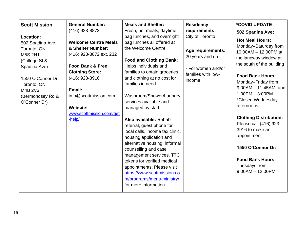| <b>General Number:</b><br><b>Scott Mission</b><br>(416) 923-8872<br>Location:<br><b>Welcome Centre Meals</b><br>502 Spadina Ave,<br>& Shelter Number:<br>Toronto, ON<br>(416) 923-8872 ext. 232<br>M5S 2H1<br>(College St &<br><b>Food Bank &amp; Free</b><br>Spadina Ave)<br><b>Clothing Store:</b><br>(416) 923-3916<br>1550 O'Connor Dr,<br>Toronto, ON<br>Email:<br>M4B 2V3<br>info@scottmission.com<br>(Bermondsey Rd &<br>O'Conner Dr)<br><b>Website:</b><br>www.scottmission.com/get<br>-help/ | <b>Meals and Shelter:</b><br>Fresh, hot meals, daytime<br>bag lunches, and overnight<br>bag lunches all offered at<br>the Welcome Centre<br><b>Food and Clothing Bank:</b><br>Helps individuals and<br>families to obtain groceries<br>and clothing at no cost for<br>families in need<br>Washroom/Shower/Laundry<br>services available and<br>managed by staff<br>Also available: Rehab<br>referral, guest phone for<br>local calls, income tax clinic,<br>housing application and<br>alternative housing, informal<br>counselling and case<br>management services, TTC<br>tokens for verified medical<br>appointments. Please visit<br>https://www.scottmission.co<br>m/programs/mens-ministry/<br>for more information | <b>Residency</b><br>requirements:<br>City of Toronto<br>Age requirements:<br>20 years and up<br>- For women and/or<br>families with low-<br>income | *COVID UPDATE -<br>502 Spadina Ave:<br><b>Hot Meal Hours:</b><br>Monday-Saturday from<br>10:00AM - 12:00PM at<br>the laneway window at<br>the south of the building<br><b>Food Bank Hours:</b><br>Monday-Friday from<br>$9:00AM - 11:45AM$ , and<br>$1:00PM - 3:00PM$<br>*Closed Wednesday<br>afternoons<br><b>Clothing Distribution:</b><br>Please call (416) 923-<br>3916 to make an<br>appointment<br>1550 O'Connor Dr:<br><b>Food Bank Hours:</b><br>Tuesdays from<br>$9:00AM - 12:00PM$ |
|-------------------------------------------------------------------------------------------------------------------------------------------------------------------------------------------------------------------------------------------------------------------------------------------------------------------------------------------------------------------------------------------------------------------------------------------------------------------------------------------------------|---------------------------------------------------------------------------------------------------------------------------------------------------------------------------------------------------------------------------------------------------------------------------------------------------------------------------------------------------------------------------------------------------------------------------------------------------------------------------------------------------------------------------------------------------------------------------------------------------------------------------------------------------------------------------------------------------------------------------|----------------------------------------------------------------------------------------------------------------------------------------------------|----------------------------------------------------------------------------------------------------------------------------------------------------------------------------------------------------------------------------------------------------------------------------------------------------------------------------------------------------------------------------------------------------------------------------------------------------------------------------------------------|
|-------------------------------------------------------------------------------------------------------------------------------------------------------------------------------------------------------------------------------------------------------------------------------------------------------------------------------------------------------------------------------------------------------------------------------------------------------------------------------------------------------|---------------------------------------------------------------------------------------------------------------------------------------------------------------------------------------------------------------------------------------------------------------------------------------------------------------------------------------------------------------------------------------------------------------------------------------------------------------------------------------------------------------------------------------------------------------------------------------------------------------------------------------------------------------------------------------------------------------------------|----------------------------------------------------------------------------------------------------------------------------------------------------|----------------------------------------------------------------------------------------------------------------------------------------------------------------------------------------------------------------------------------------------------------------------------------------------------------------------------------------------------------------------------------------------------------------------------------------------------------------------------------------------|